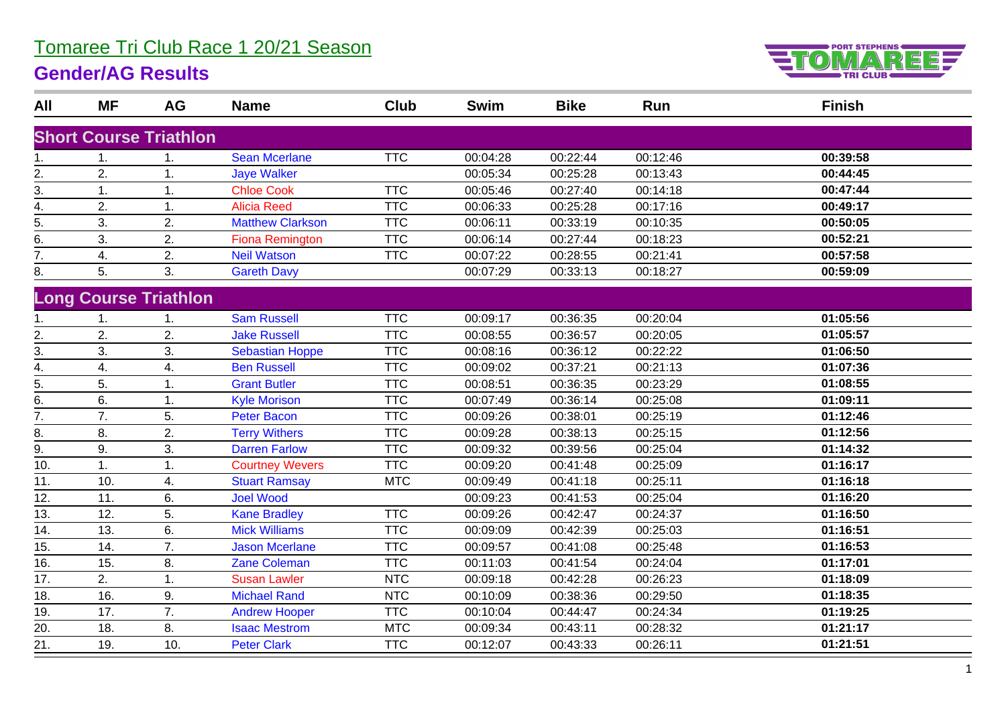## Tomaree Tri Club Race 1 20/21 Season

## **Gender/AG Results**



| All               | <b>MF</b> | AG                            | <b>Name</b>             | Club       | <b>Swim</b> | <b>Bike</b> | Run      | <b>Finish</b> |
|-------------------|-----------|-------------------------------|-------------------------|------------|-------------|-------------|----------|---------------|
|                   |           | <b>Short Course Triathlon</b> |                         |            |             |             |          |               |
|                   |           |                               |                         |            |             |             |          |               |
| 1.                | 1.        | 1.                            | <b>Sean Mcerlane</b>    | <b>TTC</b> | 00:04:28    | 00:22:44    | 00:12:46 | 00:39:58      |
| 2.                | 2.        | 1.                            | <b>Jaye Walker</b>      |            | 00:05:34    | 00:25:28    | 00:13:43 | 00:44:45      |
| 3.                | 1.        | 1.                            | <b>Chloe Cook</b>       | <b>TTC</b> | 00:05:46    | 00:27:40    | 00:14:18 | 00:47:44      |
| 4.                | 2.        | 1.                            | <b>Alicia Reed</b>      | <b>TTC</b> | 00:06:33    | 00:25:28    | 00:17:16 | 00:49:17      |
| $\overline{5}$ .  | 3.        | 2.                            | <b>Matthew Clarkson</b> | <b>TTC</b> | 00:06:11    | 00:33:19    | 00:10:35 | 00:50:05      |
| 6.                | 3.        | 2.                            | <b>Fiona Remington</b>  | <b>TTC</b> | 00:06:14    | 00:27:44    | 00:18:23 | 00:52:21      |
| 7.                | 4.        | 2.                            | <b>Neil Watson</b>      | <b>TTC</b> | 00:07:22    | 00:28:55    | 00:21:41 | 00:57:58      |
| 8.                | 5.        | 3.                            | <b>Gareth Davy</b>      |            | 00:07:29    | 00:33:13    | 00:18:27 | 00:59:09      |
|                   |           | <b>Long Course Triathlon</b>  |                         |            |             |             |          |               |
|                   | 1.        | 1.                            | <b>Sam Russell</b>      | <b>TTC</b> | 00:09:17    | 00:36:35    | 00:20:04 | 01:05:56      |
| 2.                | 2.        | 2.                            | <b>Jake Russell</b>     | <b>TTC</b> | 00:08:55    | 00:36:57    | 00:20:05 | 01:05:57      |
| 3.                | 3.        | 3.                            | <b>Sebastian Hoppe</b>  | <b>TTC</b> | 00:08:16    | 00:36:12    | 00:22:22 | 01:06:50      |
| 4.                | 4.        | 4.                            | <b>Ben Russell</b>      | <b>TTC</b> | 00:09:02    | 00:37:21    | 00:21:13 | 01:07:36      |
| 5.                | 5.        | 1.                            | <b>Grant Butler</b>     | <b>TTC</b> | 00:08:51    | 00:36:35    | 00:23:29 | 01:08:55      |
| 6.                | 6.        | 1.                            | <b>Kyle Morison</b>     | <b>TTC</b> | 00:07:49    | 00:36:14    | 00:25:08 | 01:09:11      |
| $\overline{7}$ .  | 7.        | 5.                            | <b>Peter Bacon</b>      | <b>TTC</b> | 00:09:26    | 00:38:01    | 00:25:19 | 01:12:46      |
| 8.                | 8.        | 2.                            | <b>Terry Withers</b>    | <b>TTC</b> | 00:09:28    | 00:38:13    | 00:25:15 | 01:12:56      |
| 9.                | 9.        | 3.                            | <b>Darren Farlow</b>    | <b>TTC</b> | 00:09:32    | 00:39:56    | 00:25:04 | 01:14:32      |
| 10.               | 1.        | 1.                            | <b>Courtney Wevers</b>  | <b>TTC</b> | 00:09:20    | 00:41:48    | 00:25:09 | 01:16:17      |
| 11.               | 10.       | 4.                            | <b>Stuart Ramsay</b>    | <b>MTC</b> | 00:09:49    | 00:41:18    | 00:25:11 | 01:16:18      |
| 12.               | 11.       | 6.                            | <b>Joel Wood</b>        |            | 00:09:23    | 00:41:53    | 00:25:04 | 01:16:20      |
| 13.               | 12.       | 5.                            | <b>Kane Bradley</b>     | <b>TTC</b> | 00:09:26    | 00:42:47    | 00:24:37 | 01:16:50      |
| 14.               | 13.       | 6.                            | <b>Mick Williams</b>    | <b>TTC</b> | 00:09:09    | 00:42:39    | 00:25:03 | 01:16:51      |
| $\overline{15}$ . | 14.       | $\overline{7}$ .              | <b>Jason Mcerlane</b>   | <b>TTC</b> | 00:09:57    | 00:41:08    | 00:25:48 | 01:16:53      |
| 16.               | 15.       | 8.                            | <b>Zane Coleman</b>     | <b>TTC</b> | 00:11:03    | 00:41:54    | 00:24:04 | 01:17:01      |
| 17.               | 2.        | 1.                            | <b>Susan Lawler</b>     | <b>NTC</b> | 00:09:18    | 00:42:28    | 00:26:23 | 01:18:09      |
| $\overline{18}$ . | 16.       | 9.                            | <b>Michael Rand</b>     | <b>NTC</b> | 00:10:09    | 00:38:36    | 00:29:50 | 01:18:35      |
| 19.               | 17.       | 7.                            | <b>Andrew Hooper</b>    | <b>TTC</b> | 00:10:04    | 00:44:47    | 00:24:34 | 01:19:25      |
| $\overline{20}$   | 18.       | 8.                            | <b>Isaac Mestrom</b>    | <b>MTC</b> | 00:09:34    | 00:43:11    | 00:28:32 | 01:21:17      |
| 21.               | 19.       | 10.                           | <b>Peter Clark</b>      | <b>TTC</b> | 00:12:07    | 00:43:33    | 00:26:11 | 01:21:51      |